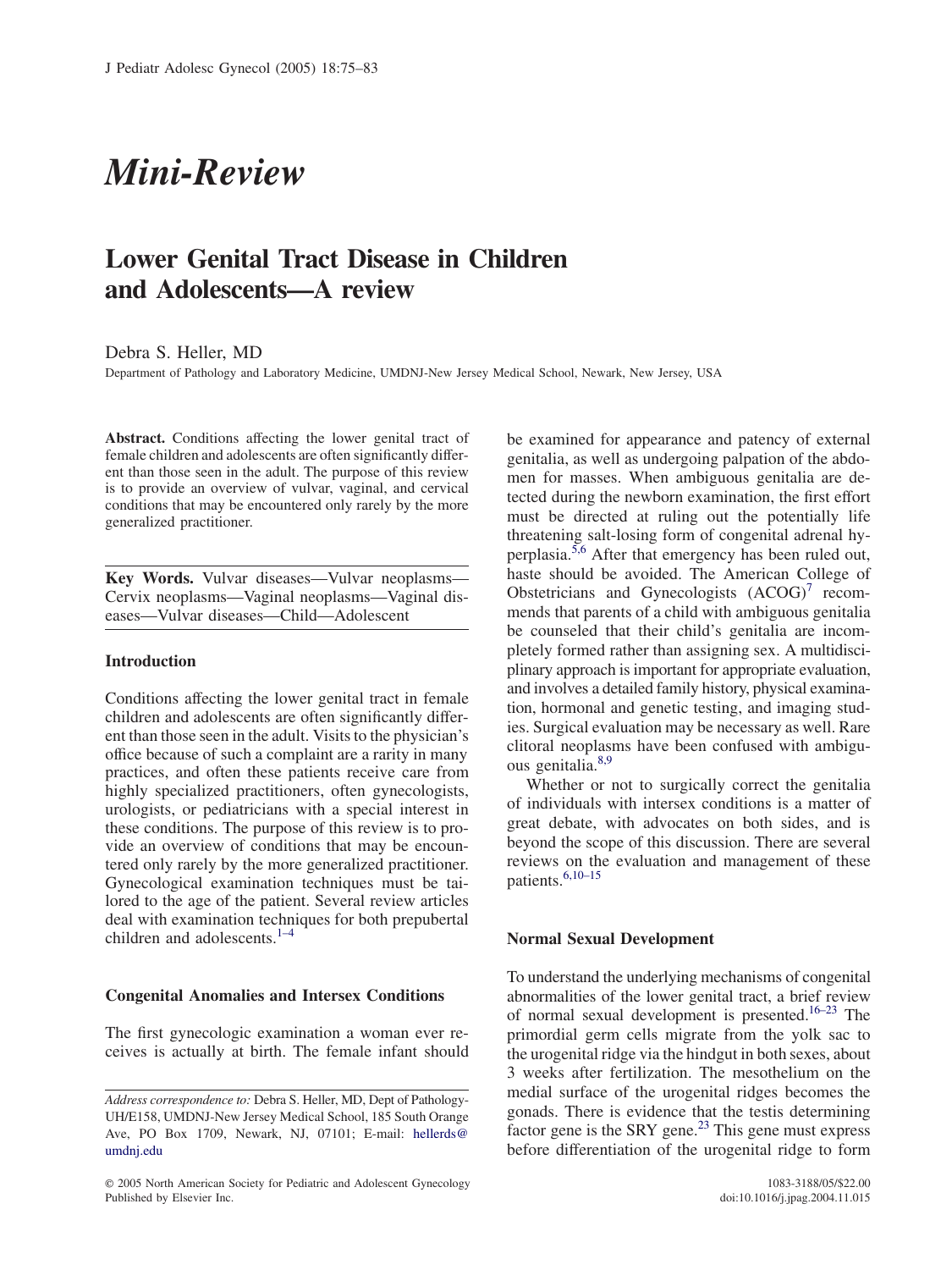# *Mini-Review*

# **Lower Genital Tract Disease in Children and Adolescents—A review**

# Debra S. Heller, MD

Department of Pathology and Laboratory Medicine, UMDNJ-New Jersey Medical School, Newark, New Jersey, USA

**Abstract.** Conditions affecting the lower genital tract of female children and adolescents are often significantly different than those seen in the adult. The purpose of this review is to provide an overview of vulvar, vaginal, and cervical conditions that may be encountered only rarely by the more generalized practitioner.

**Key Words.** Vulvar diseases—Vulvar neoplasms— Cervix neoplasms—Vaginal neoplasms—Vaginal diseases—Vulvar diseases—Child—Adolescent

# **Introduction**

Conditions affecting the lower genital tract in female children and adolescents are often significantly different than those seen in the adult. Visits to the physician's office because of such a complaint are a rarity in many practices, and often these patients receive care from highly specialized practitioners, often gynecologists, urologists, or pediatricians with a special interest in these conditions. The purpose of this review is to provide an overview of conditions that may be encountered only rarely by the more generalized practitioner. Gynecological examination techniques must be tailored to the age of the patient. Several review articles deal with examination techniques for both prepubertal children and adolescents. $1-4$ 

### **Congenital Anomalies and Intersex Conditions**

The first gynecologic examination a woman ever receives is actually at birth. The female infant should be examined for appearance and patency of external genitalia, as well as undergoing palpation of the abdomen for masses. When ambiguous genitalia are detected during the newborn examination, the first effort must be directed at ruling out the potentially life threatening salt-losing form of congenital adrenal hy-perplasia.<sup>[5,6](#page-7-0)</sup> After that emergency has been ruled out, haste should be avoided. The American College of Obstetricians and Gynecologists  $(ACOG)^7$  $(ACOG)^7$  recommends that parents of a child with ambiguous genitalia be counseled that their child's genitalia are incompletely formed rather than assigning sex. A multidisciplinary approach is important for appropriate evaluation, and involves a detailed family history, physical examination, hormonal and genetic testing, and imaging studies. Surgical evaluation may be necessary as well. Rare clitoral neoplasms have been confused with ambigu-ous genitalia.<sup>[8,9](#page-7-0)</sup>

Whether or not to surgically correct the genitalia of individuals with intersex conditions is a matter of great debate, with advocates on both sides, and is beyond the scope of this discussion. There are several reviews on the evaluation and management of these patients.[6,10–15](#page-7-0)

#### **Normal Sexual Development**

To understand the underlying mechanisms of congenital abnormalities of the lower genital tract, a brief review of normal sexual development is presented.<sup>16–23</sup> The primordial germ cells migrate from the yolk sac to the urogenital ridge via the hindgut in both sexes, about 3 weeks after fertilization. The mesothelium on the medial surface of the urogenital ridges becomes the gonads. There is evidence that the testis determining factor gene is the SRY gene.<sup>23</sup> This gene must express before differentiation of the urogenital ridge to form

*Address correspondence to:* Debra S. Heller, MD, Dept of Pathology-UH/E158, UMDNJ-New Jersey Medical School, 185 South Orange Ave, PO Box 1709, Newark, NJ, 07101; E-mail: [hellerds@](mailto:hellerds@umdnj.edu) [umdnj.edu](mailto:hellerds@umdnj.edu)

2005 North American Society for Pediatric and Adolescent Gynecology 1083-3188/05/\$22.00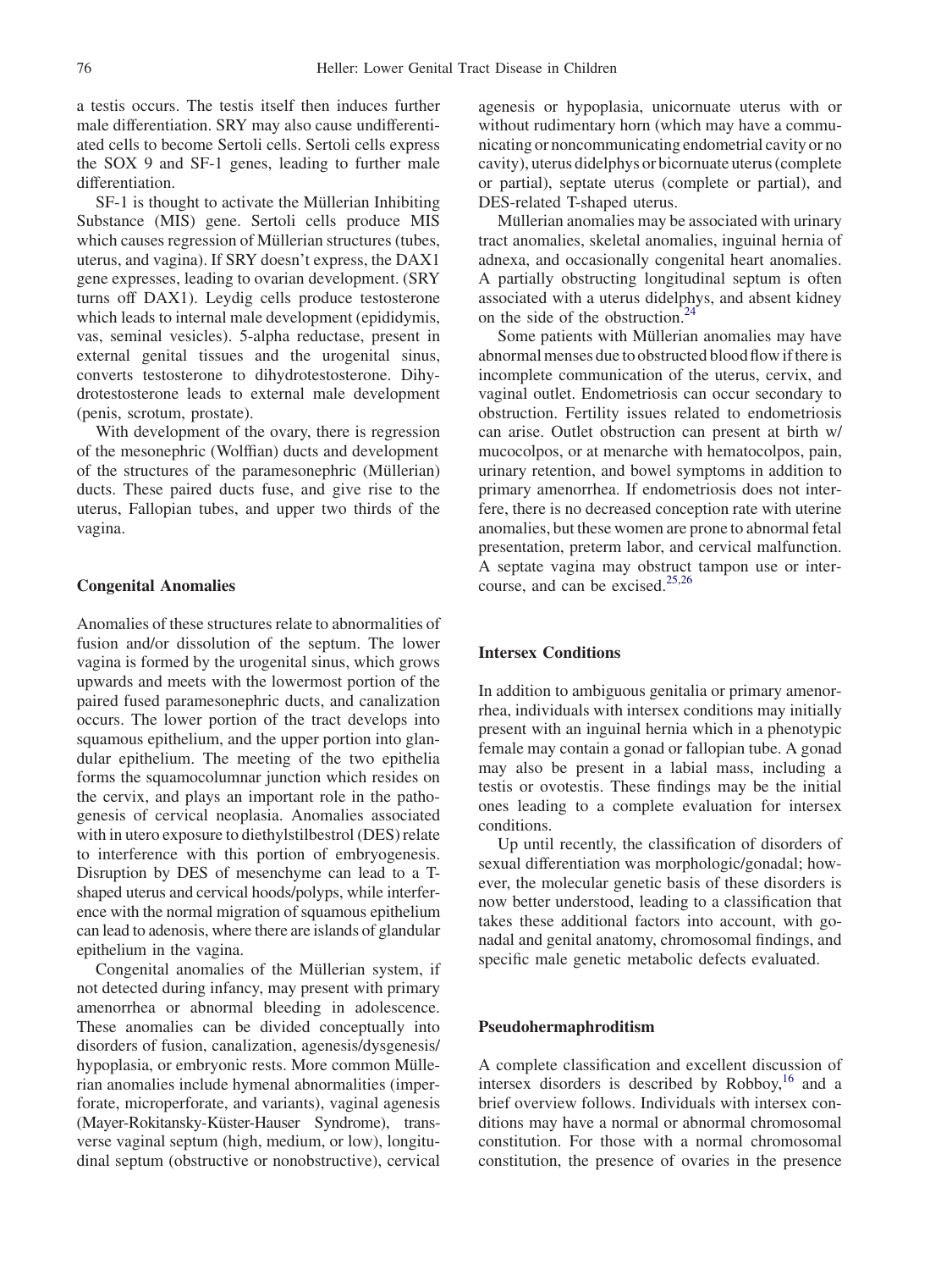a testis occurs. The testis itself then induces further male differentiation. SRY may also cause undifferentiated cells to become Sertoli cells. Sertoli cells express the SOX 9 and SF-1 genes, leading to further male differentiation.

SF-1 is thought to activate the Müllerian Inhibiting Substance (MIS) gene. Sertoli cells produce MIS which causes regression of Müllerian structures (tubes, uterus, and vagina). If SRY doesn't express, the DAX1 gene expresses, leading to ovarian development. (SRY turns off DAX1). Leydig cells produce testosterone which leads to internal male development (epididymis, vas, seminal vesicles). 5-alpha reductase, present in external genital tissues and the urogenital sinus, converts testosterone to dihydrotestosterone. Dihydrotestosterone leads to external male development (penis, scrotum, prostate).

With development of the ovary, there is regression of the mesonephric (Wolffian) ducts and development of the structures of the paramesonephric (Müllerian) ducts. These paired ducts fuse, and give rise to the uterus, Fallopian tubes, and upper two thirds of the vagina.

#### **Congenital Anomalies**

Anomalies of these structures relate to abnormalities of fusion and/or dissolution of the septum. The lower vagina is formed by the urogenital sinus, which grows upwards and meets with the lowermost portion of the paired fused paramesonephric ducts, and canalization occurs. The lower portion of the tract develops into squamous epithelium, and the upper portion into glandular epithelium. The meeting of the two epithelia forms the squamocolumnar junction which resides on the cervix, and plays an important role in the pathogenesis of cervical neoplasia. Anomalies associated with in utero exposure to diethylstilbestrol (DES) relate to interference with this portion of embryogenesis. Disruption by DES of mesenchyme can lead to a Tshaped uterus and cervical hoods/polyps, while interference with the normal migration of squamous epithelium can lead to adenosis, where there are islands of glandular epithelium in the vagina.

Congenital anomalies of the Müllerian system, if not detected during infancy, may present with primary amenorrhea or abnormal bleeding in adolescence. These anomalies can be divided conceptually into disorders of fusion, canalization, agenesis/dysgenesis/ hypoplasia, or embryonic rests. More common Müllerian anomalies include hymenal abnormalities (imperforate, microperforate, and variants), vaginal agenesis (Mayer-Rokitansky-Küster-Hauser Syndrome), transverse vaginal septum (high, medium, or low), longitudinal septum (obstructive or nonobstructive), cervical

agenesis or hypoplasia, unicornuate uterus with or without rudimentary horn (which may have a communicating or noncommunicating endometrial cavity or no cavity), uterus didelphys or bicornuate uterus (complete or partial), septate uterus (complete or partial), and DES-related T-shaped uterus.

Müllerian anomalies may be associated with urinary tract anomalies, skeletal anomalies, inguinal hernia of adnexa, and occasionally congenital heart anomalies. A partially obstructing longitudinal septum is often associated with a uterus didelphys, and absent kidney on the side of the obstruction.<sup>24</sup>

Some patients with Müllerian anomalies may have abnormal menses due to obstructed blood flow if there is incomplete communication of the uterus, cervix, and vaginal outlet. Endometriosis can occur secondary to obstruction. Fertility issues related to endometriosis can arise. Outlet obstruction can present at birth w/ mucocolpos, or at menarche with hematocolpos, pain, urinary retention, and bowel symptoms in addition to primary amenorrhea. If endometriosis does not interfere, there is no decreased conception rate with uterine anomalies, but these women are prone to abnormal fetal presentation, preterm labor, and cervical malfunction. A septate vagina may obstruct tampon use or intercourse, and can be excised. $25,26$ 

# **Intersex Conditions**

In addition to ambiguous genitalia or primary amenorrhea, individuals with intersex conditions may initially present with an inguinal hernia which in a phenotypic female may contain a gonad or fallopian tube. A gonad may also be present in a labial mass, including a testis or ovotestis. These findings may be the initial ones leading to a complete evaluation for intersex conditions.

Up until recently, the classification of disorders of sexual differentiation was morphologic/gonadal; however, the molecular genetic basis of these disorders is now better understood, leading to a classification that takes these additional factors into account, with gonadal and genital anatomy, chromosomal findings, and specific male genetic metabolic defects evaluated.

#### **Pseudohermaphroditism**

A complete classification and excellent discussion of intersex disorders is described by Robboy,<sup>[16](#page-7-0)</sup> and a brief overview follows. Individuals with intersex conditions may have a normal or abnormal chromosomal constitution. For those with a normal chromosomal constitution, the presence of ovaries in the presence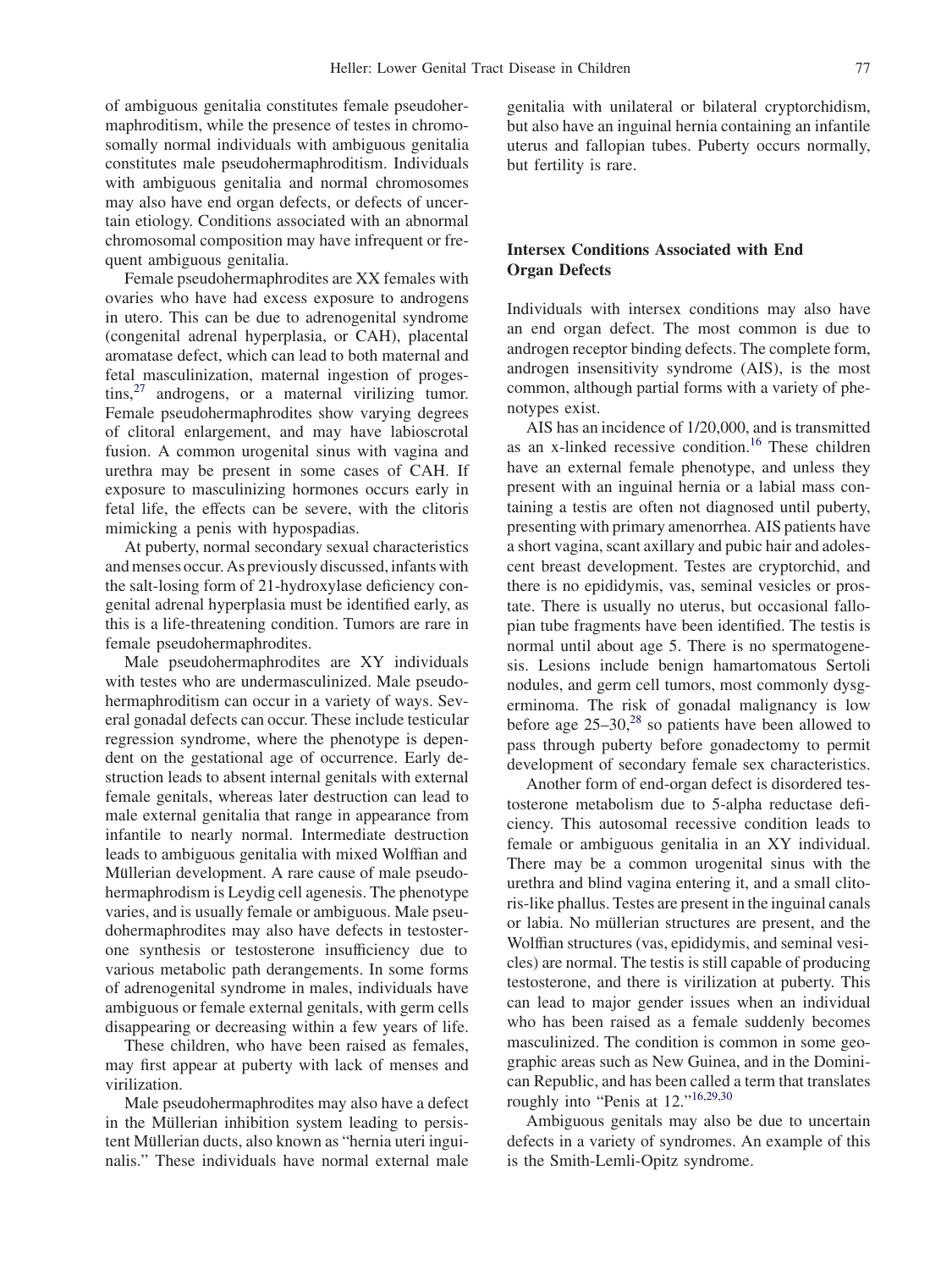of ambiguous genitalia constitutes female pseudohermaphroditism, while the presence of testes in chromosomally normal individuals with ambiguous genitalia constitutes male pseudohermaphroditism. Individuals with ambiguous genitalia and normal chromosomes may also have end organ defects, or defects of uncertain etiology. Conditions associated with an abnormal chromosomal composition may have infrequent or frequent ambiguous genitalia.

Female pseudohermaphrodites are XX females with ovaries who have had excess exposure to androgens in utero. This can be due to adrenogenital syndrome (congenital adrenal hyperplasia, or CAH), placental aromatase defect, which can lead to both maternal and fetal masculinization, maternal ingestion of proges $tins$ ,  $^{27}$  $^{27}$  $^{27}$  androgens, or a maternal virilizing tumor. Female pseudohermaphrodites show varying degrees of clitoral enlargement, and may have labioscrotal fusion. A common urogenital sinus with vagina and urethra may be present in some cases of CAH. If exposure to masculinizing hormones occurs early in fetal life, the effects can be severe, with the clitoris mimicking a penis with hypospadias.

At puberty, normal secondary sexual characteristics and menses occur. As previously discussed, infants with the salt-losing form of 21-hydroxylase deficiency congenital adrenal hyperplasia must be identified early, as this is a life-threatening condition. Tumors are rare in female pseudohermaphrodites.

Male pseudohermaphrodites are XY individuals with testes who are undermasculinized. Male pseudohermaphroditism can occur in a variety of ways. Several gonadal defects can occur. These include testicular regression syndrome, where the phenotype is dependent on the gestational age of occurrence. Early destruction leads to absent internal genitals with external female genitals, whereas later destruction can lead to male external genitalia that range in appearance from infantile to nearly normal. Intermediate destruction leads to ambiguous genitalia with mixed Wolffian and Müllerian development. A rare cause of male pseudohermaphrodism is Leydig cell agenesis. The phenotype varies, and is usually female or ambiguous. Male pseudohermaphrodites may also have defects in testosterone synthesis or testosterone insufficiency due to various metabolic path derangements. In some forms of adrenogenital syndrome in males, individuals have ambiguous or female external genitals, with germ cells disappearing or decreasing within a few years of life.

These children, who have been raised as females, may first appear at puberty with lack of menses and virilization.

Male pseudohermaphrodites may also have a defect in the Müllerian inhibition system leading to persistent Müllerian ducts, also known as "hernia uteri inguinalis." These individuals have normal external male

genitalia with unilateral or bilateral cryptorchidism, but also have an inguinal hernia containing an infantile uterus and fallopian tubes. Puberty occurs normally, but fertility is rare.

# **Intersex Conditions Associated with End Organ Defects**

Individuals with intersex conditions may also have an end organ defect. The most common is due to androgen receptor binding defects. The complete form, androgen insensitivity syndrome (AIS), is the most common, although partial forms with a variety of phenotypes exist.

AIS has an incidence of 1/20,000, and is transmitted as an x-linked recessive condition.<sup>16</sup> These children have an external female phenotype, and unless they present with an inguinal hernia or a labial mass containing a testis are often not diagnosed until puberty, presenting with primary amenorrhea. AIS patients have a short vagina, scant axillary and pubic hair and adolescent breast development. Testes are cryptorchid, and there is no epididymis, vas, seminal vesicles or prostate. There is usually no uterus, but occasional fallopian tube fragments have been identified. The testis is normal until about age 5. There is no spermatogenesis. Lesions include benign hamartomatous Sertoli nodules, and germ cell tumors, most commonly dysgerminoma. The risk of gonadal malignancy is low before age  $25-30$ ,<sup>28</sup> so patients have been allowed to pass through puberty before gonadectomy to permit development of secondary female sex characteristics.

Another form of end-organ defect is disordered testosterone metabolism due to 5-alpha reductase deficiency. This autosomal recessive condition leads to female or ambiguous genitalia in an XY individual. There may be a common urogenital sinus with the urethra and blind vagina entering it, and a small clitoris-like phallus. Testes are present in the inguinal canals or labia. No müllerian structures are present, and the Wolffian structures (vas, epididymis, and seminal vesicles) are normal. The testis is still capable of producing testosterone, and there is virilization at puberty. This can lead to major gender issues when an individual who has been raised as a female suddenly becomes masculinized. The condition is common in some geographic areas such as New Guinea, and in the Dominican Republic, and has been called a term that translates roughly into "Penis at 12."<sup>16,29,30</sup>

Ambiguous genitals may also be due to uncertain defects in a variety of syndromes. An example of this is the Smith-Lemli-Opitz syndrome.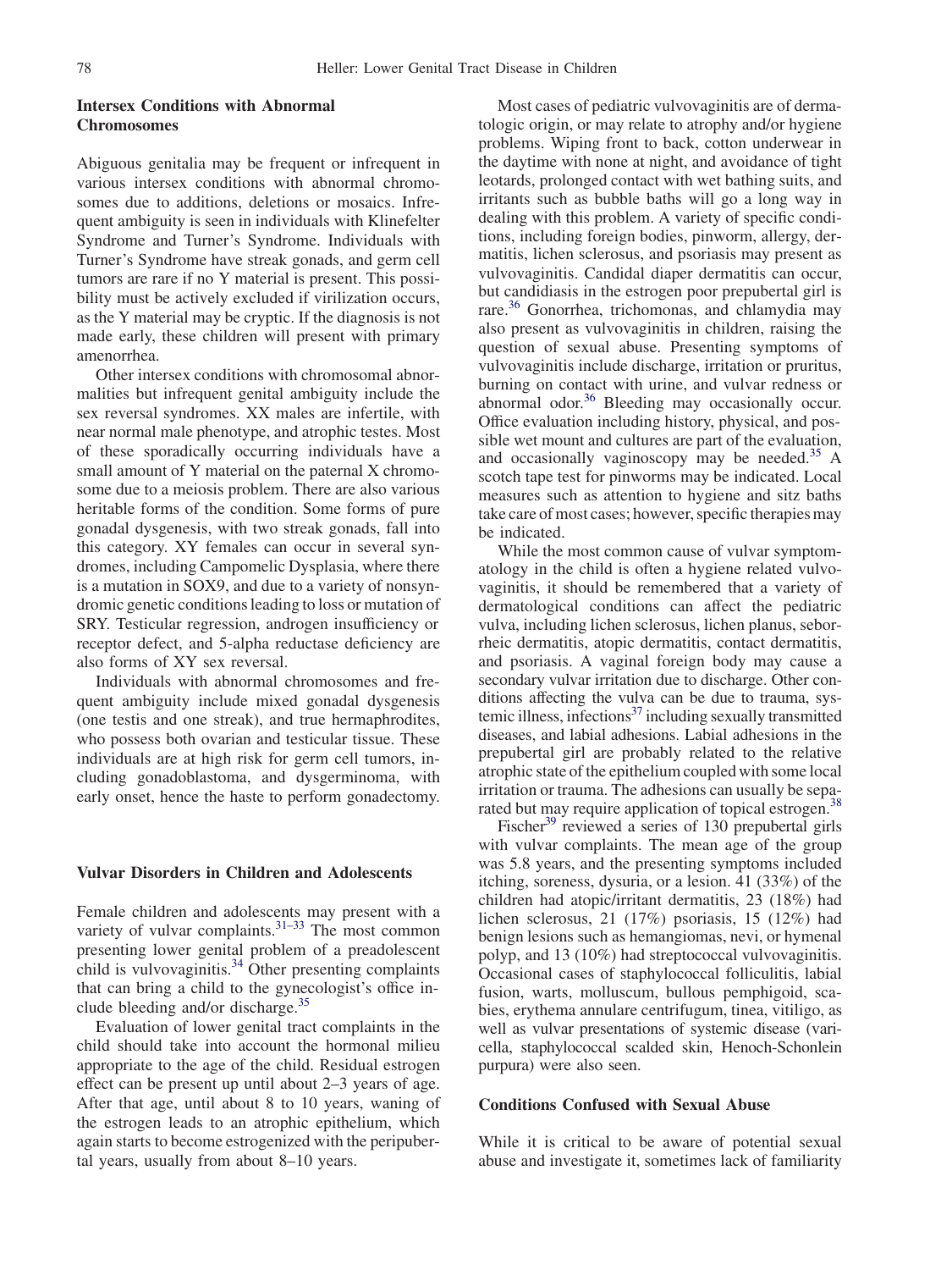# **Intersex Conditions with Abnormal Chromosomes**

Abiguous genitalia may be frequent or infrequent in various intersex conditions with abnormal chromosomes due to additions, deletions or mosaics. Infrequent ambiguity is seen in individuals with Klinefelter Syndrome and Turner's Syndrome. Individuals with Turner's Syndrome have streak gonads, and germ cell tumors are rare if no Y material is present. This possibility must be actively excluded if virilization occurs, as the Y material may be cryptic. If the diagnosis is not made early, these children will present with primary amenorrhea.

Other intersex conditions with chromosomal abnormalities but infrequent genital ambiguity include the sex reversal syndromes. XX males are infertile, with near normal male phenotype, and atrophic testes. Most of these sporadically occurring individuals have a small amount of Y material on the paternal X chromosome due to a meiosis problem. There are also various heritable forms of the condition. Some forms of pure gonadal dysgenesis, with two streak gonads, fall into this category. XY females can occur in several syndromes, including Campomelic Dysplasia, where there is a mutation in SOX9, and due to a variety of nonsyndromic genetic conditions leading to loss or mutation of SRY. Testicular regression, androgen insufficiency or receptor defect, and 5-alpha reductase deficiency are also forms of XY sex reversal.

Individuals with abnormal chromosomes and frequent ambiguity include mixed gonadal dysgenesis (one testis and one streak), and true hermaphrodites, who possess both ovarian and testicular tissue. These individuals are at high risk for germ cell tumors, including gonadoblastoma, and dysgerminoma, with early onset, hence the haste to perform gonadectomy.

# **Vulvar Disorders in Children and Adolescents**

Female children and adolescents may present with a variety of vulvar complaints.<sup>[31–33](#page-7-0)</sup> The most common presenting lower genital problem of a preadolescent child is vulvovaginitis. $34$  Other presenting complaints that can bring a child to the gynecologist's office include bleeding and/or discharge.[35](#page-7-0)

Evaluation of lower genital tract complaints in the child should take into account the hormonal milieu appropriate to the age of the child. Residual estrogen effect can be present up until about 2–3 years of age. After that age, until about 8 to 10 years, waning of the estrogen leads to an atrophic epithelium, which again starts to become estrogenized with the peripubertal years, usually from about 8–10 years.

Most cases of pediatric vulvovaginitis are of dermatologic origin, or may relate to atrophy and/or hygiene problems. Wiping front to back, cotton underwear in the daytime with none at night, and avoidance of tight leotards, prolonged contact with wet bathing suits, and irritants such as bubble baths will go a long way in dealing with this problem. A variety of specific conditions, including foreign bodies, pinworm, allergy, dermatitis, lichen sclerosus, and psoriasis may present as vulvovaginitis. Candidal diaper dermatitis can occur, but candidiasis in the estrogen poor prepubertal girl is rare[.36](#page-7-0) Gonorrhea, trichomonas, and chlamydia may also present as vulvovaginitis in children, raising the question of sexual abuse. Presenting symptoms of vulvovaginitis include discharge, irritation or pruritus, burning on contact with urine, and vulvar redness or abnormal odor.<sup>[36](#page-7-0)</sup> Bleeding may occasionally occur. Office evaluation including history, physical, and possible wet mount and cultures are part of the evaluation, and occasionally vaginoscopy may be needed.<sup>35</sup> A scotch tape test for pinworms may be indicated. Local measures such as attention to hygiene and sitz baths take care of most cases; however, specific therapies may be indicated.

While the most common cause of vulvar symptomatology in the child is often a hygiene related vulvovaginitis, it should be remembered that a variety of dermatological conditions can affect the pediatric vulva, including lichen sclerosus, lichen planus, seborrheic dermatitis, atopic dermatitis, contact dermatitis, and psoriasis. A vaginal foreign body may cause a secondary vulvar irritation due to discharge. Other conditions affecting the vulva can be due to trauma, systemic illness, infections $37$  including sexually transmitted diseases, and labial adhesions. Labial adhesions in the prepubertal girl are probably related to the relative atrophic state of the epithelium coupled with some local irritation or trauma. The adhesions can usually be sepa-rated but may require application of topical estrogen.<sup>[38](#page-7-0)</sup>

Fischer<sup>39</sup> reviewed a series of 130 prepubertal girls with vulvar complaints. The mean age of the group was 5.8 years, and the presenting symptoms included itching, soreness, dysuria, or a lesion. 41 (33%) of the children had atopic/irritant dermatitis, 23 (18%) had lichen sclerosus, 21 (17%) psoriasis, 15 (12%) had benign lesions such as hemangiomas, nevi, or hymenal polyp, and 13 (10%) had streptococcal vulvovaginitis. Occasional cases of staphylococcal folliculitis, labial fusion, warts, molluscum, bullous pemphigoid, scabies, erythema annulare centrifugum, tinea, vitiligo, as well as vulvar presentations of systemic disease (varicella, staphylococcal scalded skin, Henoch-Schonlein purpura) were also seen.

#### **Conditions Confused with Sexual Abuse**

While it is critical to be aware of potential sexual abuse and investigate it, sometimes lack of familiarity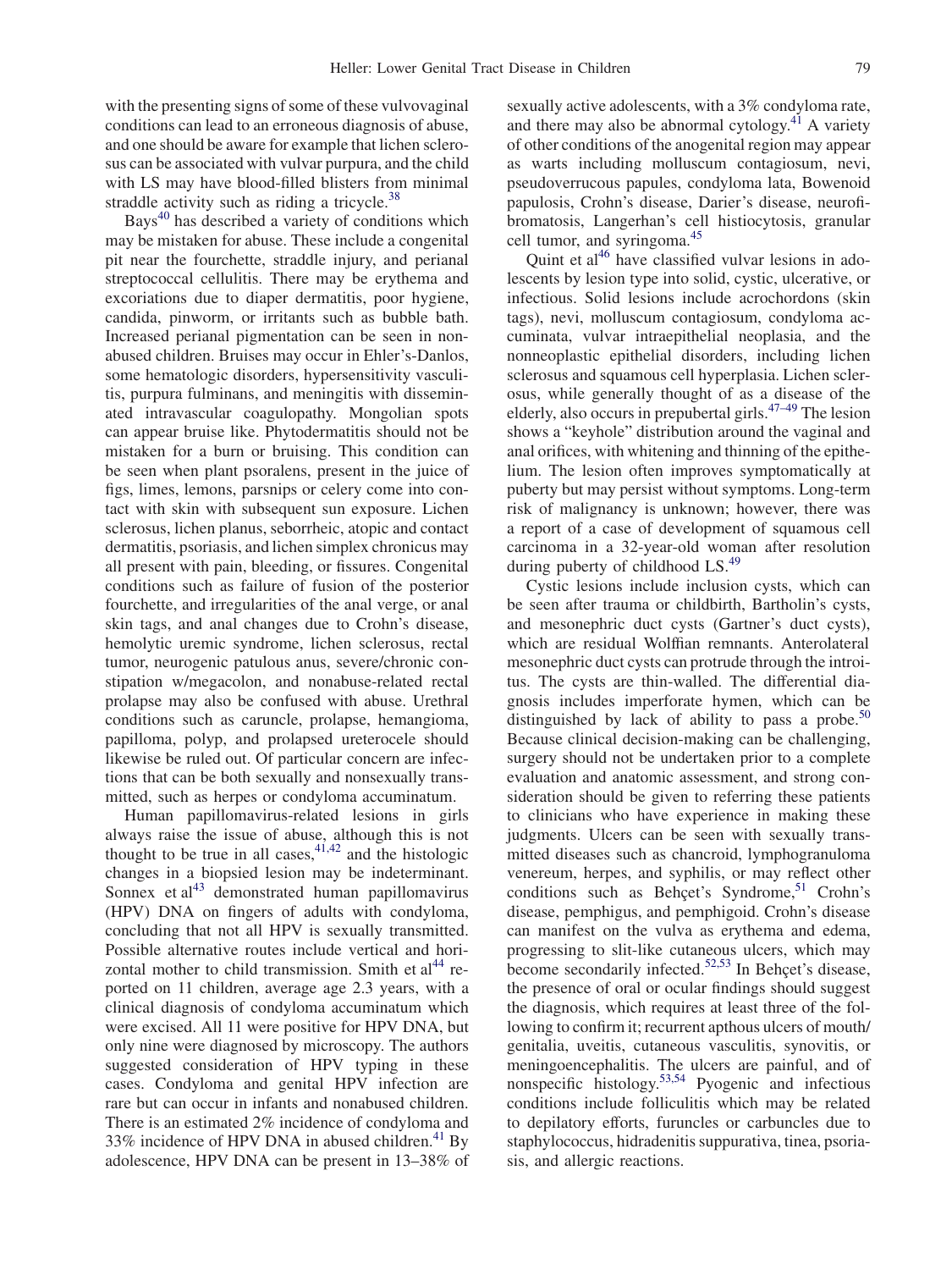with the presenting signs of some of these vulvovaginal conditions can lead to an erroneous diagnosis of abuse, and one should be aware for example that lichen sclerosus can be associated with vulvar purpura, and the child with LS may have blood-filled blisters from minimal straddle activity such as riding a tricycle.<sup>[38](#page-7-0)</sup>

Bays<sup>40</sup> has described a variety of conditions which may be mistaken for abuse. These include a congenital pit near the fourchette, straddle injury, and perianal streptococcal cellulitis. There may be erythema and excoriations due to diaper dermatitis, poor hygiene, candida, pinworm, or irritants such as bubble bath. Increased perianal pigmentation can be seen in nonabused children. Bruises may occur in Ehler's-Danlos, some hematologic disorders, hypersensitivity vasculitis, purpura fulminans, and meningitis with disseminated intravascular coagulopathy. Mongolian spots can appear bruise like. Phytodermatitis should not be mistaken for a burn or bruising. This condition can be seen when plant psoralens, present in the juice of figs, limes, lemons, parsnips or celery come into contact with skin with subsequent sun exposure. Lichen sclerosus, lichen planus, seborrheic, atopic and contact dermatitis, psoriasis, and lichen simplex chronicus may all present with pain, bleeding, or fissures. Congenital conditions such as failure of fusion of the posterior fourchette, and irregularities of the anal verge, or anal skin tags, and anal changes due to Crohn's disease, hemolytic uremic syndrome, lichen sclerosus, rectal tumor, neurogenic patulous anus, severe/chronic constipation w/megacolon, and nonabuse-related rectal prolapse may also be confused with abuse. Urethral conditions such as caruncle, prolapse, hemangioma, papilloma, polyp, and prolapsed ureterocele should likewise be ruled out. Of particular concern are infections that can be both sexually and nonsexually transmitted, such as herpes or condyloma accuminatum.

Human papillomavirus-related lesions in girls always raise the issue of abuse, although this is not thought to be true in all cases,  $4^{1,42}$  and the histologic changes in a biopsied lesion may be indeterminant. Sonnex et  $al<sup>43</sup>$  $al<sup>43</sup>$  $al<sup>43</sup>$  demonstrated human papillomavirus (HPV) DNA on fingers of adults with condyloma, concluding that not all HPV is sexually transmitted. Possible alternative routes include vertical and horizontal mother to child transmission. Smith et  $al<sup>44</sup>$  $al<sup>44</sup>$  $al<sup>44</sup>$  reported on 11 children, average age 2.3 years, with a clinical diagnosis of condyloma accuminatum which were excised. All 11 were positive for HPV DNA, but only nine were diagnosed by microscopy. The authors suggested consideration of HPV typing in these cases. Condyloma and genital HPV infection are rare but can occur in infants and nonabused children. There is an estimated 2% incidence of condyloma and 33% incidence of HPV DNA in abused children.<sup>[41](#page-7-0)</sup> By adolescence, HPV DNA can be present in 13–38% of

sexually active adolescents, with a 3% condyloma rate, and there may also be abnormal cytology.<sup>41</sup> A variety of other conditions of the anogenital region may appear as warts including molluscum contagiosum, nevi, pseudoverrucous papules, condyloma lata, Bowenoid papulosis, Crohn's disease, Darier's disease, neurofibromatosis, Langerhan's cell histiocytosis, granular cell tumor, and syringoma.<sup>[45](#page-7-0)</sup>

Quint et al<sup>46</sup> have classified vulvar lesions in adolescents by lesion type into solid, cystic, ulcerative, or infectious. Solid lesions include acrochordons (skin tags), nevi, molluscum contagiosum, condyloma accuminata, vulvar intraepithelial neoplasia, and the nonneoplastic epithelial disorders, including lichen sclerosus and squamous cell hyperplasia. Lichen sclerosus, while generally thought of as a disease of the elderly, also occurs in prepubertal girls. $47-49$  The lesion shows a "keyhole" distribution around the vaginal and anal orifices, with whitening and thinning of the epithelium. The lesion often improves symptomatically at puberty but may persist without symptoms. Long-term risk of malignancy is unknown; however, there was a report of a case of development of squamous cell carcinoma in a 32-year-old woman after resolution during puberty of childhood LS.<sup>[49](#page-7-0)</sup>

Cystic lesions include inclusion cysts, which can be seen after trauma or childbirth, Bartholin's cysts, and mesonephric duct cysts (Gartner's duct cysts), which are residual Wolffian remnants. Anterolateral mesonephric duct cysts can protrude through the introitus. The cysts are thin-walled. The differential diagnosis includes imperforate hymen, which can be distinguished by lack of ability to pass a probe.<sup>[50](#page-8-0)</sup> Because clinical decision-making can be challenging, surgery should not be undertaken prior to a complete evaluation and anatomic assessment, and strong consideration should be given to referring these patients to clinicians who have experience in making these judgments. Ulcers can be seen with sexually transmitted diseases such as chancroid, lymphogranuloma venereum, herpes, and syphilis, or may reflect other conditions such as Behçet's Syndrome,<sup>51</sup> Crohn's disease, pemphigus, and pemphigoid. Crohn's disease can manifest on the vulva as erythema and edema, progressing to slit-like cutaneous ulcers, which may become secondarily infected.<sup>[52,53](#page-8-0)</sup> In Behcet's disease, the presence of oral or ocular findings should suggest the diagnosis, which requires at least three of the following to confirm it; recurrent apthous ulcers of mouth/ genitalia, uveitis, cutaneous vasculitis, synovitis, or meningoencephalitis. The ulcers are painful, and of nonspecific histology[.53,54](#page-8-0) Pyogenic and infectious conditions include folliculitis which may be related to depilatory efforts, furuncles or carbuncles due to staphylococcus, hidradenitis suppurativa, tinea, psoriasis, and allergic reactions.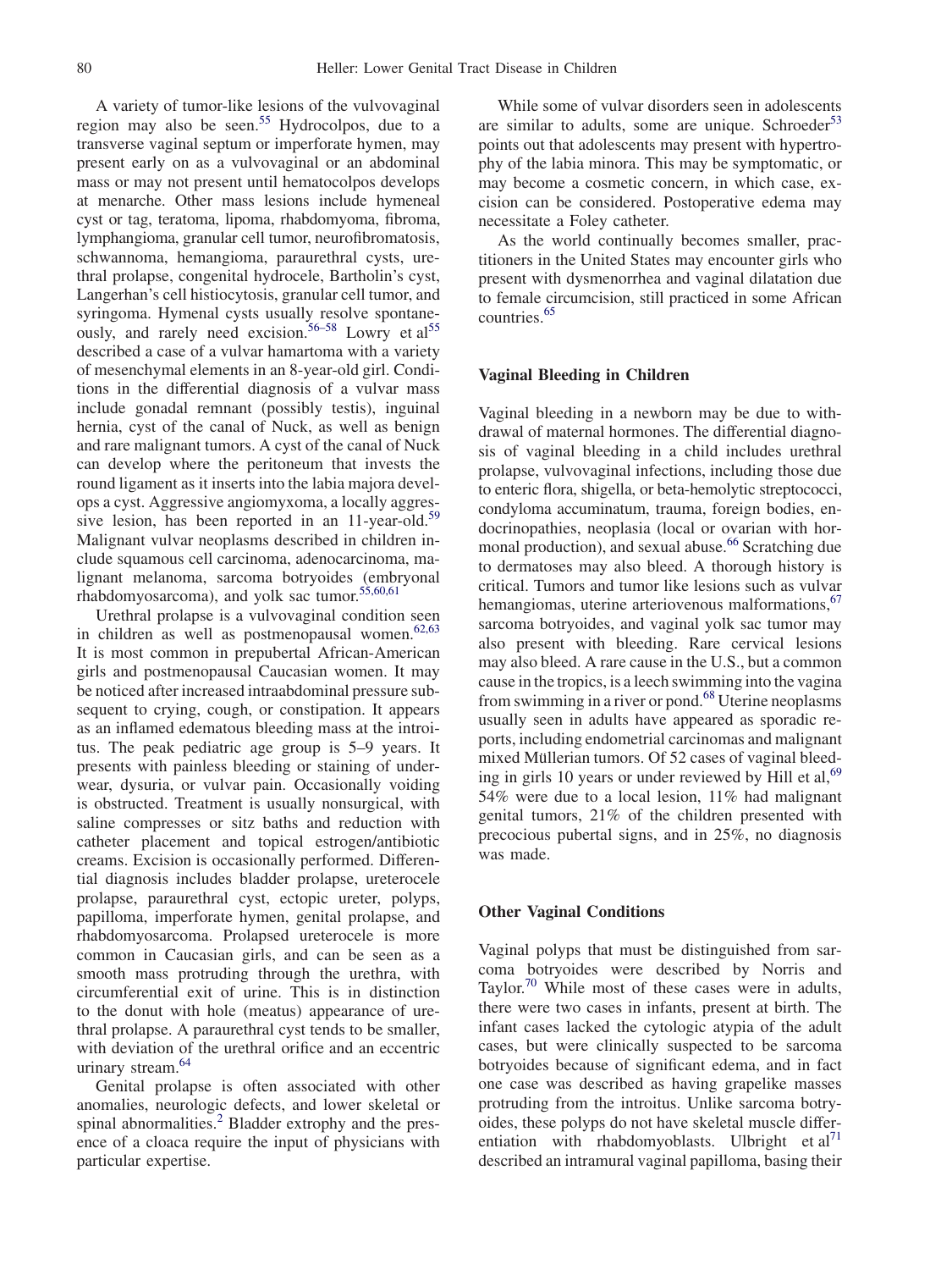A variety of tumor-like lesions of the vulvovaginal region may also be seen.<sup>[55](#page-8-0)</sup> Hydrocolpos, due to a transverse vaginal septum or imperforate hymen, may present early on as a vulvovaginal or an abdominal mass or may not present until hematocolpos develops at menarche. Other mass lesions include hymeneal cyst or tag, teratoma, lipoma, rhabdomyoma, fibroma, lymphangioma, granular cell tumor, neurofibromatosis, schwannoma, hemangioma, paraurethral cysts, urethral prolapse, congenital hydrocele, Bartholin's cyst, Langerhan's cell histiocytosis, granular cell tumor, and syringoma. Hymenal cysts usually resolve spontane-ously, and rarely need excision.<sup>[56–58](#page-8-0)</sup> Lowry et al<sup>[55](#page-8-0)</sup> described a case of a vulvar hamartoma with a variety of mesenchymal elements in an 8-year-old girl. Conditions in the differential diagnosis of a vulvar mass include gonadal remnant (possibly testis), inguinal hernia, cyst of the canal of Nuck, as well as benign and rare malignant tumors. A cyst of the canal of Nuck can develop where the peritoneum that invests the round ligament as it inserts into the labia majora develops a cyst. Aggressive angiomyxoma, a locally aggres-sive lesion, has been reported in an 11-year-old.<sup>[59](#page-8-0)</sup> Malignant vulvar neoplasms described in children include squamous cell carcinoma, adenocarcinoma, malignant melanoma, sarcoma botryoides (embryonal rhabdomyosarcoma), and yolk sac tumor.<sup>[55,60,61](#page-8-0)</sup>

Urethral prolapse is a vulvovaginal condition seen in children as well as postmenopausal women. $62,63$ It is most common in prepubertal African-American girls and postmenopausal Caucasian women. It may be noticed after increased intraabdominal pressure subsequent to crying, cough, or constipation. It appears as an inflamed edematous bleeding mass at the introitus. The peak pediatric age group is 5–9 years. It presents with painless bleeding or staining of underwear, dysuria, or vulvar pain. Occasionally voiding is obstructed. Treatment is usually nonsurgical, with saline compresses or sitz baths and reduction with catheter placement and topical estrogen/antibiotic creams. Excision is occasionally performed. Differential diagnosis includes bladder prolapse, ureterocele prolapse, paraurethral cyst, ectopic ureter, polyps, papilloma, imperforate hymen, genital prolapse, and rhabdomyosarcoma. Prolapsed ureterocele is more common in Caucasian girls, and can be seen as a smooth mass protruding through the urethra, with circumferential exit of urine. This is in distinction to the donut with hole (meatus) appearance of urethral prolapse. A paraurethral cyst tends to be smaller, with deviation of the urethral orifice and an eccentric urinary stream.<sup>64</sup>

Genital prolapse is often associated with other anomalies, neurologic defects, and lower skeletal or spinal abnormalities.<sup>[2](#page-7-0)</sup> Bladder extrophy and the presence of a cloaca require the input of physicians with particular expertise.

While some of vulvar disorders seen in adolescents are similar to adults, some are unique. Schroeder $53$ points out that adolescents may present with hypertrophy of the labia minora. This may be symptomatic, or may become a cosmetic concern, in which case, excision can be considered. Postoperative edema may necessitate a Foley catheter.

As the world continually becomes smaller, practitioners in the United States may encounter girls who present with dysmenorrhea and vaginal dilatation due to female circumcision, still practiced in some African countries.[65](#page-8-0)

# **Vaginal Bleeding in Children**

Vaginal bleeding in a newborn may be due to withdrawal of maternal hormones. The differential diagnosis of vaginal bleeding in a child includes urethral prolapse, vulvovaginal infections, including those due to enteric flora, shigella, or beta-hemolytic streptococci, condyloma accuminatum, trauma, foreign bodies, endocrinopathies, neoplasia (local or ovarian with hor-monal production), and sexual abuse.<sup>[66](#page-8-0)</sup> Scratching due to dermatoses may also bleed. A thorough history is critical. Tumors and tumor like lesions such as vulvar hemangiomas, uterine arteriovenous malformations,<sup>67</sup> sarcoma botryoides, and vaginal yolk sac tumor may also present with bleeding. Rare cervical lesions may also bleed. A rare cause in the U.S., but a common cause in the tropics, is a leech swimming into the vagina from swimming in a river or pond.<sup>[68](#page-8-0)</sup> Uterine neoplasms usually seen in adults have appeared as sporadic reports, including endometrial carcinomas and malignant mixed Müllerian tumors. Of 52 cases of vaginal bleeding in girls 10 years or under reviewed by Hill et al,  $69$ 54% were due to a local lesion, 11% had malignant genital tumors, 21% of the children presented with precocious pubertal signs, and in 25%, no diagnosis was made.

#### **Other Vaginal Conditions**

Vaginal polyps that must be distinguished from sarcoma botryoides were described by Norris and Taylor.<sup>70</sup> While most of these cases were in adults, there were two cases in infants, present at birth. The infant cases lacked the cytologic atypia of the adult cases, but were clinically suspected to be sarcoma botryoides because of significant edema, and in fact one case was described as having grapelike masses protruding from the introitus. Unlike sarcoma botryoides, these polyps do not have skeletal muscle differentiation with rhabdomyoblasts. Ulbright et  $al<sup>71</sup>$ described an intramural vaginal papilloma, basing their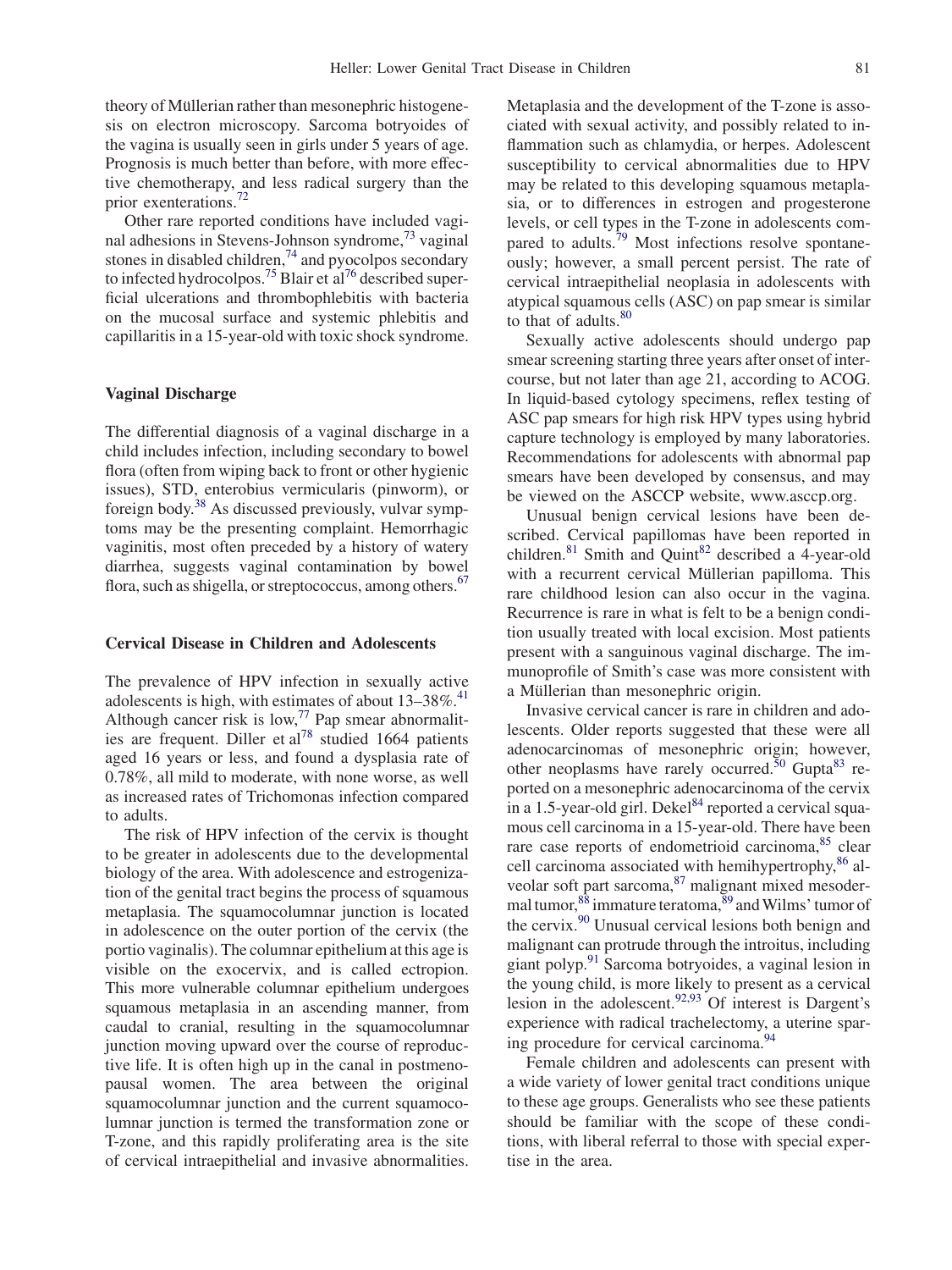theory of Müllerian rather than mesonephric histogenesis on electron microscopy. Sarcoma botryoides of the vagina is usually seen in girls under 5 years of age. Prognosis is much better than before, with more effective chemotherapy, and less radical surgery than the prior exenterations.[72](#page-8-0)

Other rare reported conditions have included vagi-nal adhesions in Stevens-Johnson syndrome,<sup>[73](#page-8-0)</sup> vaginal stones in disabled children, $^{74}$  $^{74}$  $^{74}$  and pyocolpos secondary to infected hydrocolpos.<sup>75</sup> Blair et al<sup>76</sup> described superficial ulcerations and thrombophlebitis with bacteria on the mucosal surface and systemic phlebitis and capillaritis in a 15-year-old with toxic shock syndrome.

### **Vaginal Discharge**

The differential diagnosis of a vaginal discharge in a child includes infection, including secondary to bowel flora (often from wiping back to front or other hygienic issues), STD, enterobius vermicularis (pinworm), or foreign body.[38](#page-7-0) As discussed previously, vulvar symptoms may be the presenting complaint. Hemorrhagic vaginitis, most often preceded by a history of watery diarrhea, suggests vaginal contamination by bowel flora, such as shigella, or streptococcus, among others.<sup>67</sup>

#### **Cervical Disease in Children and Adolescents**

The prevalence of HPV infection in sexually active adolescents is high, with estimates of about  $13-38\%$ .<sup>[41](#page-7-0)</sup> Although cancer risk is low,<sup>[77](#page-8-0)</sup> Pap smear abnormalit-ies are frequent. Diller et al<sup>[78](#page-8-0)</sup> studied 1664 patients aged 16 years or less, and found a dysplasia rate of 0.78%, all mild to moderate, with none worse, as well as increased rates of Trichomonas infection compared to adults.

The risk of HPV infection of the cervix is thought to be greater in adolescents due to the developmental biology of the area. With adolescence and estrogenization of the genital tract begins the process of squamous metaplasia. The squamocolumnar junction is located in adolescence on the outer portion of the cervix (the portio vaginalis). The columnar epithelium at this age is visible on the exocervix, and is called ectropion. This more vulnerable columnar epithelium undergoes squamous metaplasia in an ascending manner, from caudal to cranial, resulting in the squamocolumnar junction moving upward over the course of reproductive life. It is often high up in the canal in postmenopausal women. The area between the original squamocolumnar junction and the current squamocolumnar junction is termed the transformation zone or T-zone, and this rapidly proliferating area is the site of cervical intraepithelial and invasive abnormalities.

Metaplasia and the development of the T-zone is associated with sexual activity, and possibly related to inflammation such as chlamydia, or herpes. Adolescent susceptibility to cervical abnormalities due to HPV may be related to this developing squamous metaplasia, or to differences in estrogen and progesterone levels, or cell types in the T-zone in adolescents com-pared to adults.<sup>[79](#page-8-0)</sup> Most infections resolve spontaneously; however, a small percent persist. The rate of cervical intraepithelial neoplasia in adolescents with atypical squamous cells (ASC) on pap smear is similar to that of adults.<sup>[80](#page-8-0)</sup>

Sexually active adolescents should undergo pap smear screening starting three years after onset of intercourse, but not later than age 21, according to ACOG. In liquid-based cytology specimens, reflex testing of ASC pap smears for high risk HPV types using hybrid capture technology is employed by many laboratories. Recommendations for adolescents with abnormal pap smears have been developed by consensus, and may be viewed on the ASCCP website, www.asccp.org.

Unusual benign cervical lesions have been described. Cervical papillomas have been reported in children. $81$  Smith and Quint $82$  described a 4-year-old with a recurrent cervical Müllerian papilloma. This rare childhood lesion can also occur in the vagina. Recurrence is rare in what is felt to be a benign condition usually treated with local excision. Most patients present with a sanguinous vaginal discharge. The immunoprofile of Smith's case was more consistent with a Müllerian than mesonephric origin.

Invasive cervical cancer is rare in children and adolescents. Older reports suggested that these were all adenocarcinomas of mesonephric origin; however, other neoplasms have rarely occurred.<sup>50</sup> Gupta<sup>[83](#page-8-0)</sup> reported on a mesonephric adenocarcinoma of the cervix in a 1.5-year-old girl. Dekel<sup>[84](#page-8-0)</sup> reported a cervical squamous cell carcinoma in a 15-year-old. There have been rare case reports of endometrioid carcinoma, <sup>[85](#page-8-0)</sup> clear cell carcinoma associated with hemihypertrophy,<sup>[86](#page-8-0)</sup> al-veolar soft part sarcoma,<sup>[87](#page-8-0)</sup> malignant mixed mesoder-mal tumor,<sup>[88](#page-8-0)</sup> immature teratoma,<sup>89</sup> and Wilms' tumor of the cervix.<sup>[90](#page-8-0)</sup> Unusual cervical lesions both benign and malignant can protrude through the introitus, including giant polyp.<sup>91</sup> Sarcoma botryoides, a vaginal lesion in the young child, is more likely to present as a cervical lesion in the adolescent. $92,93$  Of interest is Dargent's experience with radical trachelectomy, a uterine sparing procedure for cervical carcinoma.<sup>94</sup>

Female children and adolescents can present with a wide variety of lower genital tract conditions unique to these age groups. Generalists who see these patients should be familiar with the scope of these conditions, with liberal referral to those with special expertise in the area.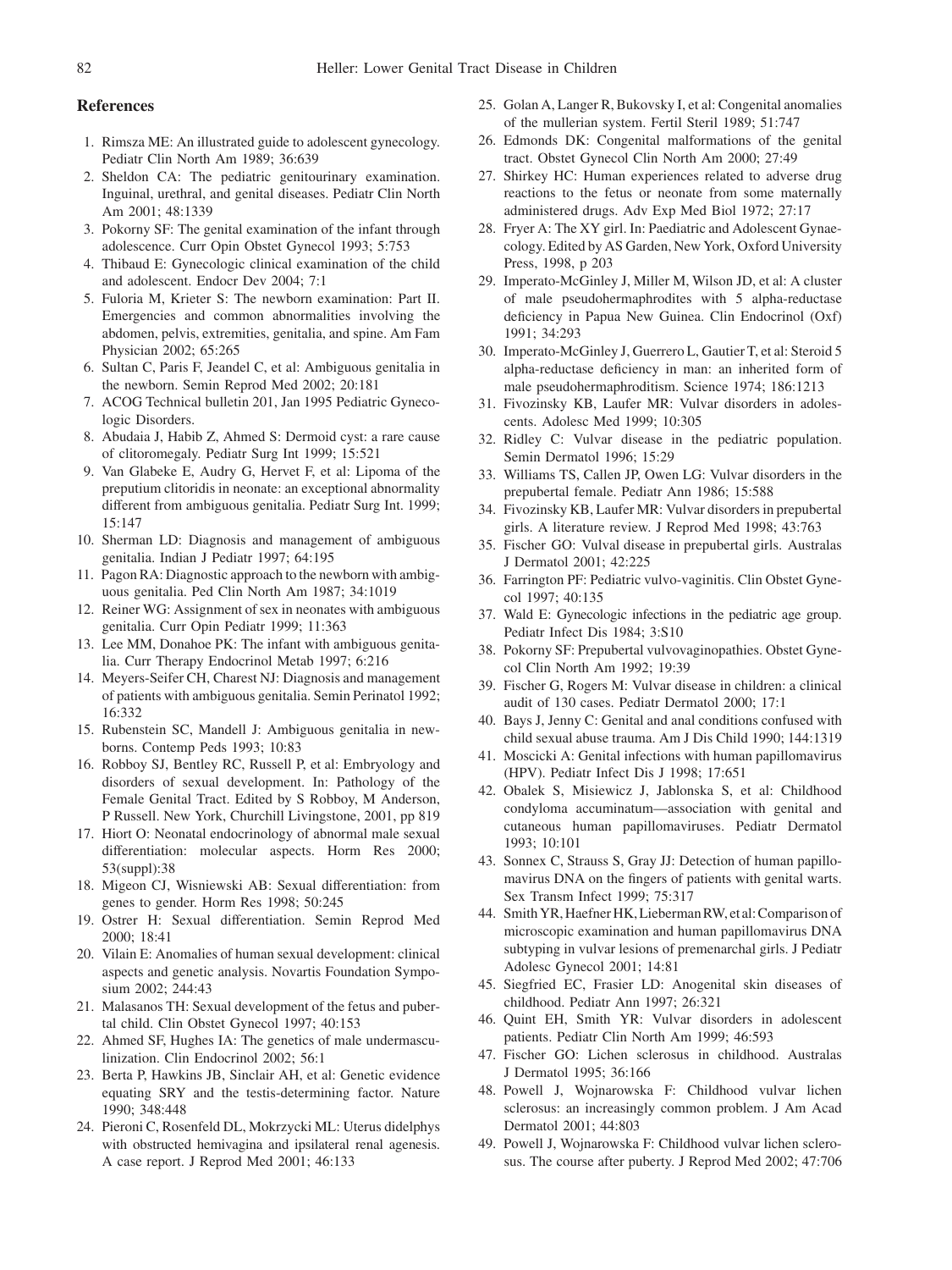## <span id="page-7-0"></span>**References**

- 1. Rimsza ME: An illustrated guide to adolescent gynecology. Pediatr Clin North Am 1989; 36:639
- 2. Sheldon CA: The pediatric genitourinary examination. Inguinal, urethral, and genital diseases. Pediatr Clin North Am 2001; 48:1339
- 3. Pokorny SF: The genital examination of the infant through adolescence. Curr Opin Obstet Gynecol 1993; 5:753
- 4. Thibaud E: Gynecologic clinical examination of the child and adolescent. Endocr Dev 2004; 7:1
- 5. Fuloria M, Krieter S: The newborn examination: Part II. Emergencies and common abnormalities involving the abdomen, pelvis, extremities, genitalia, and spine. Am Fam Physician 2002; 65:265
- 6. Sultan C, Paris F, Jeandel C, et al: Ambiguous genitalia in the newborn. Semin Reprod Med 2002; 20:181
- 7. ACOG Technical bulletin 201, Jan 1995 Pediatric Gynecologic Disorders.
- 8. Abudaia J, Habib Z, Ahmed S: Dermoid cyst: a rare cause of clitoromegaly. Pediatr Surg Int 1999; 15:521
- 9. Van Glabeke E, Audry G, Hervet F, et al: Lipoma of the preputium clitoridis in neonate: an exceptional abnormality different from ambiguous genitalia. Pediatr Surg Int. 1999; 15:147
- 10. Sherman LD: Diagnosis and management of ambiguous genitalia. Indian J Pediatr 1997; 64:195
- 11. Pagon RA: Diagnostic approach to the newborn with ambiguous genitalia. Ped Clin North Am 1987; 34:1019
- 12. Reiner WG: Assignment of sex in neonates with ambiguous genitalia. Curr Opin Pediatr 1999; 11:363
- 13. Lee MM, Donahoe PK: The infant with ambiguous genitalia. Curr Therapy Endocrinol Metab 1997; 6:216
- 14. Meyers-Seifer CH, Charest NJ: Diagnosis and management of patients with ambiguous genitalia. Semin Perinatol 1992; 16:332
- 15. Rubenstein SC, Mandell J: Ambiguous genitalia in newborns. Contemp Peds 1993; 10:83
- 16. Robboy SJ, Bentley RC, Russell P, et al: Embryology and disorders of sexual development. In: Pathology of the Female Genital Tract. Edited by S Robboy, M Anderson, P Russell. New York, Churchill Livingstone, 2001, pp 819
- 17. Hiort O: Neonatal endocrinology of abnormal male sexual differentiation: molecular aspects. Horm Res 2000; 53(suppl):38
- 18. Migeon CJ, Wisniewski AB: Sexual differentiation: from genes to gender. Horm Res 1998; 50:245
- 19. Ostrer H: Sexual differentiation. Semin Reprod Med 2000; 18:41
- 20. Vilain E: Anomalies of human sexual development: clinical aspects and genetic analysis. Novartis Foundation Symposium 2002; 244:43
- 21. Malasanos TH: Sexual development of the fetus and pubertal child. Clin Obstet Gynecol 1997; 40:153
- 22. Ahmed SF, Hughes IA: The genetics of male undermasculinization. Clin Endocrinol 2002; 56:1
- 23. Berta P, Hawkins JB, Sinclair AH, et al: Genetic evidence equating SRY and the testis-determining factor. Nature 1990; 348:448
- 24. Pieroni C, Rosenfeld DL, Mokrzycki ML: Uterus didelphys with obstructed hemivagina and ipsilateral renal agenesis. A case report. J Reprod Med 2001; 46:133
- 25. Golan A, Langer R, Bukovsky I, et al: Congenital anomalies of the mullerian system. Fertil Steril 1989; 51:747
- 26. Edmonds DK: Congenital malformations of the genital tract. Obstet Gynecol Clin North Am 2000; 27:49
- 27. Shirkey HC: Human experiences related to adverse drug reactions to the fetus or neonate from some maternally administered drugs. Adv Exp Med Biol 1972; 27:17
- 28. Fryer A: The XY girl. In: Paediatric and Adolescent Gynaecology. Edited by AS Garden, New York, Oxford University Press, 1998, p 203
- 29. Imperato-McGinley J, Miller M, Wilson JD, et al: A cluster of male pseudohermaphrodites with 5 alpha-reductase deficiency in Papua New Guinea. Clin Endocrinol (Oxf) 1991; 34:293
- 30. Imperato-McGinley J, Guerrero L, Gautier T, et al: Steroid 5 alpha-reductase deficiency in man: an inherited form of male pseudohermaphroditism. Science 1974; 186:1213
- 31. Fivozinsky KB, Laufer MR: Vulvar disorders in adolescents. Adolesc Med 1999; 10:305
- 32. Ridley C: Vulvar disease in the pediatric population. Semin Dermatol 1996; 15:29
- 33. Williams TS, Callen JP, Owen LG: Vulvar disorders in the prepubertal female. Pediatr Ann 1986; 15:588
- 34. Fivozinsky KB, Laufer MR: Vulvar disorders in prepubertal girls. A literature review. J Reprod Med 1998; 43:763
- 35. Fischer GO: Vulval disease in prepubertal girls. Australas J Dermatol 2001; 42:225
- 36. Farrington PF: Pediatric vulvo-vaginitis. Clin Obstet Gynecol 1997; 40:135
- 37. Wald E: Gynecologic infections in the pediatric age group. Pediatr Infect Dis 1984; 3:S10
- 38. Pokorny SF: Prepubertal vulvovaginopathies. Obstet Gynecol Clin North Am 1992; 19:39
- 39. Fischer G, Rogers M: Vulvar disease in children: a clinical audit of 130 cases. Pediatr Dermatol 2000; 17:1
- 40. Bays J, Jenny C: Genital and anal conditions confused with child sexual abuse trauma. Am J Dis Child 1990; 144:1319
- 41. Moscicki A: Genital infections with human papillomavirus (HPV). Pediatr Infect Dis J 1998; 17:651
- 42. Obalek S, Misiewicz J, Jablonska S, et al: Childhood condyloma accuminatum—association with genital and cutaneous human papillomaviruses. Pediatr Dermatol 1993; 10:101
- 43. Sonnex C, Strauss S, Gray JJ: Detection of human papillomavirus DNA on the fingers of patients with genital warts. Sex Transm Infect 1999; 75:317
- 44. Smith YR, Haefner HK,Lieberman RW, etal: Comparison of microscopic examination and human papillomavirus DNA subtyping in vulvar lesions of premenarchal girls. J Pediatr Adolesc Gynecol 2001; 14:81
- 45. Siegfried EC, Frasier LD: Anogenital skin diseases of childhood. Pediatr Ann 1997; 26:321
- 46. Quint EH, Smith YR: Vulvar disorders in adolescent patients. Pediatr Clin North Am 1999; 46:593
- 47. Fischer GO: Lichen sclerosus in childhood. Australas J Dermatol 1995; 36:166
- 48. Powell J, Wojnarowska F: Childhood vulvar lichen sclerosus: an increasingly common problem. J Am Acad Dermatol 2001; 44:803
- 49. Powell J, Wojnarowska F: Childhood vulvar lichen sclerosus. The course after puberty. J Reprod Med 2002; 47:706